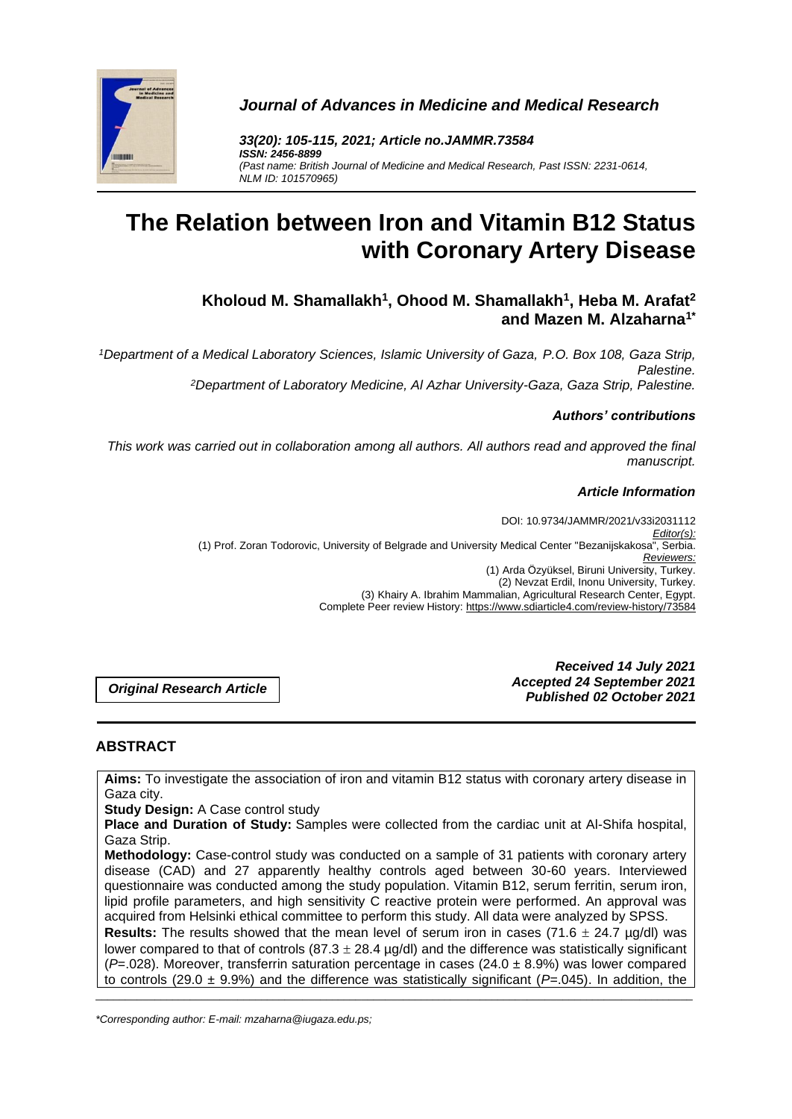

*Journal of Advances in Medicine and Medical Research*

*33(20): 105-115, 2021; Article no.JAMMR.73584 ISSN: 2456-8899 (Past name: British Journal of Medicine and Medical Research, Past ISSN: 2231-0614, NLM ID: 101570965)*

# **The Relation between Iron and Vitamin B12 Status with Coronary Artery Disease**

**Kholoud M. Shamallakh<sup>1</sup> , Ohood M. Shamallakh<sup>1</sup> , Heba M. Arafat<sup>2</sup> and Mazen M. Alzaharna1\***

*<sup>1</sup>Department of a Medical Laboratory Sciences, Islamic University of Gaza, P.O. Box 108, Gaza Strip, Palestine. <sup>2</sup>Department of Laboratory Medicine, Al Azhar University-Gaza, Gaza Strip, Palestine.*

#### *Authors' contributions*

*This work was carried out in collaboration among all authors. All authors read and approved the final manuscript.*

#### *Article Information*

DOI: 10.9734/JAMMR/2021/v33i2031112 *Editor(s):* (1) Prof. Zoran Todorovic, University of Belgrade and University Medical Center "Bezanijskakosa", Serbia. *Reviewers:* (1) Arda Özyüksel, Biruni University, Turkey. (2) Nevzat Erdil, Inonu University, Turkey. (3) Khairy A. Ibrahim Mammalian, Agricultural Research Center, Egypt. Complete Peer review History: https://www.sdiarticle4.com/review-history/73584

*Original Research Article*

*Received 14 July 2021 Accepted 24 September 2021 Published 02 October 2021*

# **ABSTRACT**

**Aims:** To investigate the association of iron and vitamin B12 status with coronary artery disease in Gaza city.

**Study Design:** A Case control study

**Place and Duration of Study:** Samples were collected from the cardiac unit at Al-Shifa hospital, Gaza Strip.

**Methodology:** Case-control study was conducted on a sample of 31 patients with coronary artery disease (CAD) and 27 apparently healthy controls aged between 30-60 years. Interviewed questionnaire was conducted among the study population. Vitamin B12, serum ferritin, serum iron, lipid profile parameters, and high sensitivity C reactive protein were performed. An approval was acquired from Helsinki ethical committee to perform this study. All data were analyzed by SPSS.

**Results:** The results showed that the mean level of serum iron in cases (71.6  $\pm$  24.7 µg/dl) was lower compared to that of controls (87.3  $\pm$  28.4 µg/dl) and the difference was statistically significant (*P*=.028). Moreover, transferrin saturation percentage in cases (24.0 ± 8.9%) was lower compared to controls (29.0  $\pm$  9.9%) and the difference was statistically significant ( $P=0.045$ ). In addition, the

\_\_\_\_\_\_\_\_\_\_\_\_\_\_\_\_\_\_\_\_\_\_\_\_\_\_\_\_\_\_\_\_\_\_\_\_\_\_\_\_\_\_\_\_\_\_\_\_\_\_\_\_\_\_\_\_\_\_\_\_\_\_\_\_\_\_\_\_\_\_\_\_\_\_\_\_\_\_\_\_\_\_\_\_\_\_\_\_\_\_\_\_\_\_\_\_\_\_\_\_\_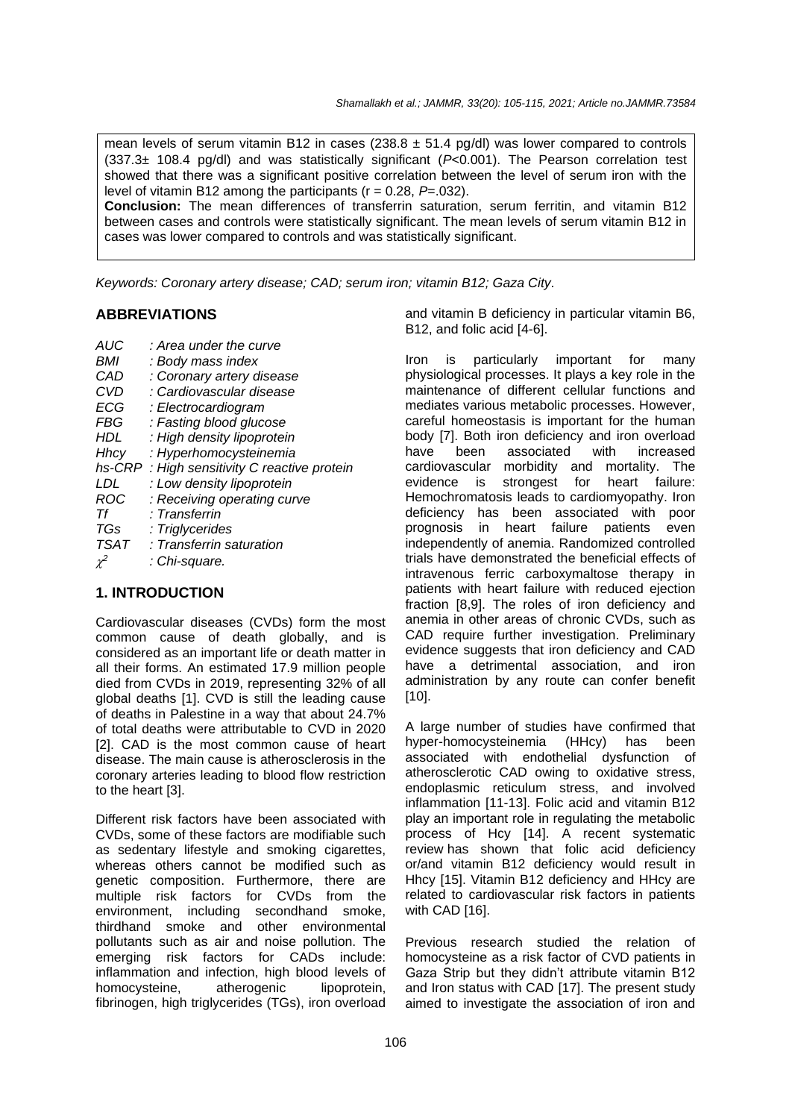mean levels of serum vitamin B12 in cases (238.8  $\pm$  51.4 pg/dl) was lower compared to controls (337.3± 108.4 pg/dl) and was statistically significant (*P*<0.001). The Pearson correlation test showed that there was a significant positive correlation between the level of serum iron with the level of vitamin B12 among the participants (r = 0.28, *P*=.032).

**Conclusion:** The mean differences of transferrin saturation, serum ferritin, and vitamin B12 between cases and controls were statistically significant. The mean levels of serum vitamin B12 in cases was lower compared to controls and was statistically significant.

*Keywords: Coronary artery disease; CAD; serum iron; vitamin B12; Gaza City.*

# **ABBREVIATIONS**

- *AUC : Area under the curve*
- *BMI : Body mass index CAD : Coronary artery disease CVD : Cardiovascular disease ECG : Electrocardiogram FBG : Fasting blood glucose HDL : High density lipoprotein Hhcy : Hyperhomocysteinemia hs-CRP : High sensitivity C reactive protein LDL : Low density lipoprotein ROC : Receiving operating curve Tf : Transferrin TGs : Triglycerides TSAT : Transferrin saturation*  $\chi^2$ *: Chi-square.*

# **1. INTRODUCTION**

Cardiovascular diseases (CVDs) form the most common cause of death globally, and is considered as an important life or death matter in all their forms. An estimated 17.9 million people died from CVDs in 2019, representing 32% of all global deaths [1]. CVD is still the leading cause of deaths in Palestine in a way that about 24.7% of total deaths were attributable to CVD in 2020 [2]. CAD is the most common cause of heart disease. The main cause is atherosclerosis in the coronary arteries leading to blood flow restriction to the heart [3].

Different risk factors have been associated with CVDs, some of these factors are modifiable such as sedentary lifestyle and smoking cigarettes, whereas others cannot be modified such as genetic composition. Furthermore, there are multiple risk factors for CVDs from the environment, including secondhand smoke, thirdhand smoke and other environmental pollutants such as air and noise pollution. The emerging risk factors for CADs include: inflammation and infection, high blood levels of homocysteine, atherogenic lipoprotein, fibrinogen, high triglycerides (TGs), iron overload

and vitamin B deficiency in particular vitamin B6, B12, and folic acid [4-6].

Iron is particularly important for many physiological processes. It plays a key role in the maintenance of different cellular functions and mediates various metabolic processes. However, careful homeostasis is important for the human body [7]. Both iron deficiency and iron overload have been associated with increased cardiovascular morbidity and mortality. The evidence is strongest for heart failure: Hemochromatosis leads to cardiomyopathy. Iron deficiency has been associated with poor prognosis in heart failure patients even independently of anemia. Randomized controlled trials have demonstrated the beneficial effects of intravenous ferric carboxymaltose therapy in patients with heart failure with reduced ejection fraction [8,9]. The roles of iron deficiency and anemia in other areas of chronic CVDs, such as CAD require further investigation. Preliminary evidence suggests that iron deficiency and CAD have a detrimental association, and iron administration by any route can confer benefit [10].

A large number of studies have confirmed that hyper-homocysteinemia (HHcy) has been associated with endothelial dysfunction of atherosclerotic CAD owing to oxidative stress, endoplasmic reticulum stress, and involved inflammation [11-13]. Folic acid and vitamin B12 play an important role in regulating the metabolic process of Hcy [14]. A recent systematic review has shown that folic acid deficiency or/and vitamin B12 deficiency would result in Hhcy [15]. Vitamin B12 deficiency and HHcy are related to cardiovascular risk factors in patients with CAD [16].

Previous research studied the relation of homocysteine as a risk factor of CVD patients in Gaza Strip but they didn't attribute vitamin B12 and Iron status with CAD [17]. The present study aimed to investigate the association of iron and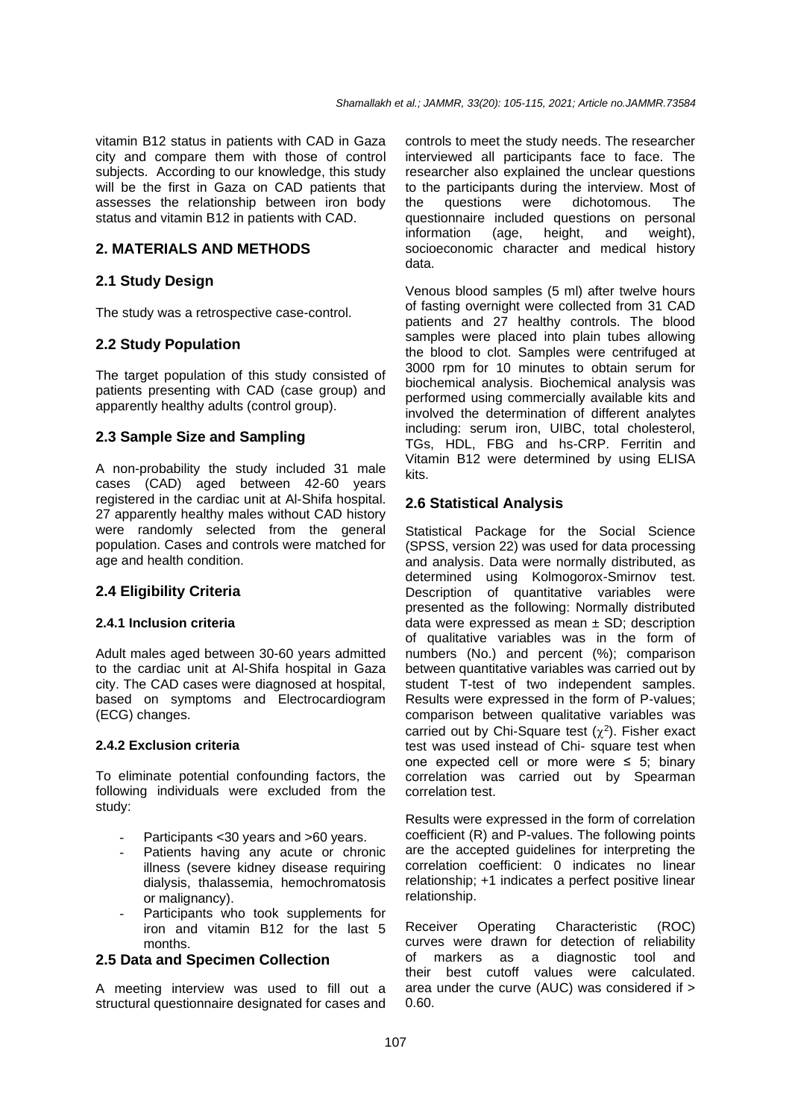vitamin B12 status in patients with CAD in Gaza city and compare them with those of control subjects. According to our knowledge, this study will be the first in Gaza on CAD patients that assesses the relationship between iron body status and vitamin B12 in patients with CAD.

#### **2. MATERIALS AND METHODS**

## **2.1 Study Design**

The study was a retrospective case-control.

## **2.2 Study Population**

The target population of this study consisted of patients presenting with CAD (case group) and apparently healthy adults (control group).

## **2.3 Sample Size and Sampling**

A non-probability the study included 31 male cases (CAD) aged between 42-60 years registered in the cardiac unit at Al-Shifa hospital. 27 apparently healthy males without CAD history were randomly selected from the general population. Cases and controls were matched for age and health condition.

# **2.4 Eligibility Criteria**

#### **2.4.1 Inclusion criteria**

Adult males aged between 30-60 years admitted to the cardiac unit at Al-Shifa hospital in Gaza city. The CAD cases were diagnosed at hospital, based on symptoms and Electrocardiogram (ECG) changes.

#### **2.4.2 Exclusion criteria**

To eliminate potential confounding factors, the following individuals were excluded from the study:

- Participants <30 years and >60 years.
- Patients having any acute or chronic illness (severe kidney disease requiring dialysis, thalassemia, hemochromatosis or malignancy).
- Participants who took supplements for iron and vitamin B12 for the last 5 months.

#### **2.5 Data and Specimen Collection**

A meeting interview was used to fill out a structural questionnaire designated for cases and controls to meet the study needs. The researcher interviewed all participants face to face. The researcher also explained the unclear questions to the participants during the interview. Most of the questions were dichotomous. The questionnaire included questions on personal<br>information (age. height. and weight).  $information$  (age, height, and socioeconomic character and medical history data.

Venous blood samples (5 ml) after twelve hours of fasting overnight were collected from 31 CAD patients and 27 healthy controls. The blood samples were placed into plain tubes allowing the blood to clot. Samples were centrifuged at 3000 rpm for 10 minutes to obtain serum for biochemical analysis. Biochemical analysis was performed using commercially available kits and involved the determination of different analytes including: serum iron, UIBC, total cholesterol, TGs, HDL, FBG and hs-CRP. Ferritin and Vitamin B12 were determined by using ELISA kits.

## **2.6 Statistical Analysis**

Statistical Package for the Social Science (SPSS, version 22) was used for data processing and analysis. Data were normally distributed, as determined using Kolmogorox-Smirnov test. Description of quantitative variables were presented as the following: Normally distributed data were expressed as mean  $\pm$  SD; description of qualitative variables was in the form of numbers (No.) and percent (%); comparison between quantitative variables was carried out by student T-test of two independent samples. Results were expressed in the form of P-values; comparison between qualitative variables was carried out by Chi-Square test  $(\chi^2)$ . Fisher exact test was used instead of Chi- square test when one expected cell or more were  $\leq$  5; binary correlation was carried out by Spearman correlation test.

Results were expressed in the form of correlation coefficient (R) and P-values. The following points are the accepted guidelines for interpreting the correlation coefficient: 0 indicates no linear relationship; +1 indicates a perfect positive linear relationship.

Receiver Operating Characteristic (ROC) curves were drawn for detection of reliability of markers as a diagnostic tool and their best cutoff values were calculated. area under the curve (AUC) was considered if > 0.60.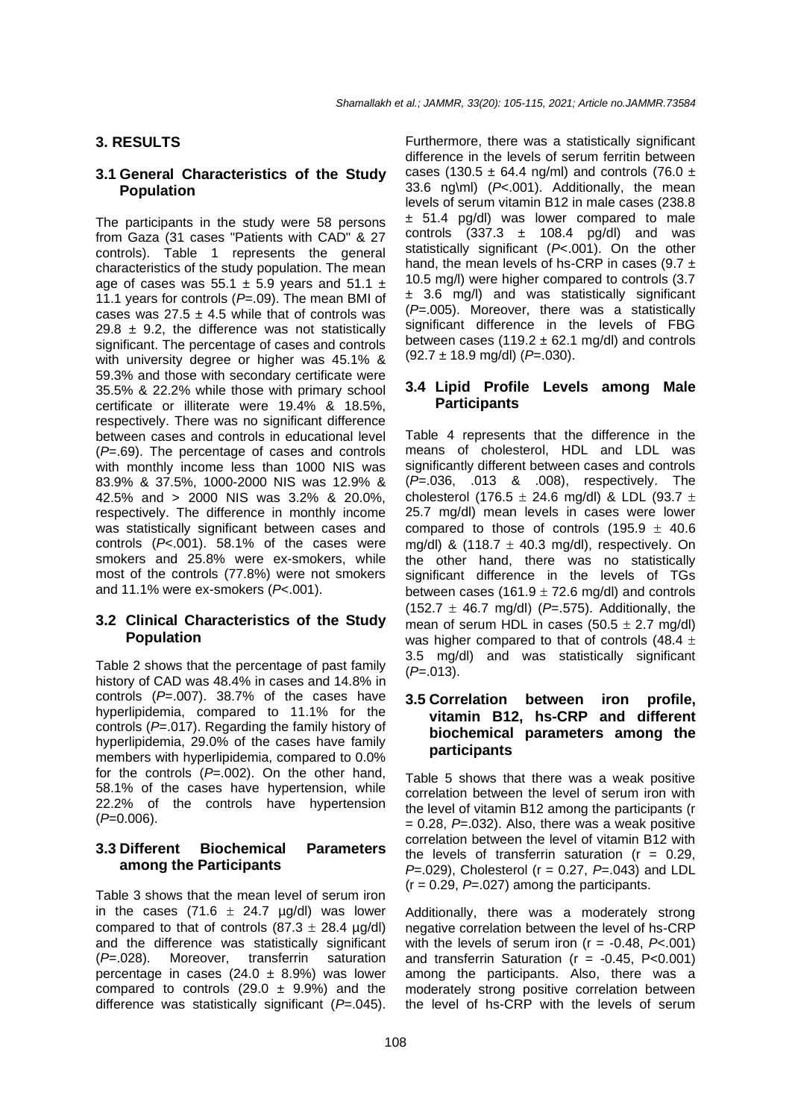#### **3. RESULTS**

#### **3.1 General Characteristics of the Study Population**

The participants in the study were 58 persons from Gaza (31 cases "Patients with CAD" & 27 controls). Table 1 represents the general characteristics of the study population. The mean age of cases was 55.1  $\pm$  5.9 years and 51.1  $\pm$ 11.1 years for controls (*P*=.09). The mean BMI of cases was  $27.5 \pm 4.5$  while that of controls was 29.8  $\pm$  9.2, the difference was not statistically significant. The percentage of cases and controls with university degree or higher was 45.1% & 59.3% and those with secondary certificate were 35.5% & 22.2% while those with primary school certificate or illiterate were 19.4% & 18.5%, respectively. There was no significant difference between cases and controls in educational level (*P*=.69). The percentage of cases and controls with monthly income less than 1000 NIS was 83.9% & 37.5%, 1000-2000 NIS was 12.9% & 42.5% and > 2000 NIS was 3.2% & 20.0%, respectively. The difference in monthly income was statistically significant between cases and controls (*P*<.001). 58.1% of the cases were smokers and 25.8% were ex-smokers, while most of the controls (77.8%) were not smokers and 11.1% were ex-smokers (*P*<.001).

#### **3.2 Clinical Characteristics of the Study Population**

Table 2 shows that the percentage of past family history of CAD was 48.4% in cases and 14.8% in controls (*P*=.007). 38.7% of the cases have hyperlipidemia, compared to 11.1% for the controls (*P*=.017). Regarding the family history of hyperlipidemia, 29.0% of the cases have family members with hyperlipidemia, compared to 0.0% for the controls (*P*=.002). On the other hand, 58.1% of the cases have hypertension, while 22.2% of the controls have hypertension (*P*=0.006).

#### **3.3 Different Biochemical Parameters among the Participants**

Table 3 shows that the mean level of serum iron in the cases (71.6  $\pm$  24.7 µg/dl) was lower compared to that of controls  $(87.3 \pm 28.4 \text{ µg/dl})$ and the difference was statistically significant (*P*=.028). Moreover, transferrin saturation percentage in cases (24.0  $\pm$  8.9%) was lower compared to controls  $(29.0 \pm 9.9\%)$  and the difference was statistically significant (*P*=.045).

Furthermore, there was a statistically significant difference in the levels of serum ferritin between cases (130.5  $\pm$  64.4 ng/ml) and controls (76.0  $\pm$ 33.6 ng\ml) (*P*<.001). Additionally, the mean levels of serum vitamin B12 in male cases (238.8  $± 51.4$  pg/dl) was lower compared to male controls  $(337.3 \pm 108.4 \text{ pq/dl})$  and was statistically significant (*P*<.001). On the other hand, the mean levels of hs-CRP in cases (9.7  $\pm$ 10.5 mg/l) were higher compared to controls (3.7 ± 3.6 mg/l) and was statistically significant (*P*=.005). Moreover, there was a statistically significant difference in the levels of FBG between cases (119.2  $\pm$  62.1 mg/dl) and controls (92.7 ± 18.9 mg/dl) (*P*=.030).

#### **3.4 Lipid Profile Levels among Male Participants**

Table 4 represents that the difference in the means of cholesterol, HDL and LDL was significantly different between cases and controls (*P*=.036, .013 & .008), respectively. The cholesterol (176.5  $\pm$  24.6 mg/dl) & LDL (93.7  $\pm$ 25.7 mg/dl) mean levels in cases were lower compared to those of controls  $(195.9 \pm 40.6$ mg/dl) &  $(118.7 \pm 40.3 \text{ mg/dl})$ , respectively. On the other hand, there was no statistically significant difference in the levels of TGs between cases (161.9  $\pm$  72.6 mg/dl) and controls (152.7  $\pm$  46.7 mg/dl) ( $P = .575$ ). Additionally, the mean of serum HDL in cases  $(50.5 \pm 2.7 \text{ mg/dl})$ was higher compared to that of controls (48.4  $\pm$ 3.5 mg/dl) and was statistically significant (*P*=.013).

#### **3.5 Correlation between iron profile, vitamin B12, hs-CRP and different biochemical parameters among the participants**

Table 5 shows that there was a weak positive correlation between the level of serum iron with the level of vitamin B12 among the participants (r  $= 0.28$ ,  $P = 0.032$ ). Also, there was a weak positive correlation between the level of vitamin B12 with the levels of transferrin saturation  $(r = 0.29)$ . *P*=.029), Cholesterol (r = 0.27, *P*=.043) and LDL  $(r = 0.29, P = .027)$  among the participants.

Additionally, there was a moderately strong negative correlation between the level of hs-CRP with the levels of serum iron  $(r = -0.48, P < 0.01)$ and transferrin Saturation ( $r = -0.45$ , P<0.001) among the participants. Also, there was a moderately strong positive correlation between the level of hs-CRP with the levels of serum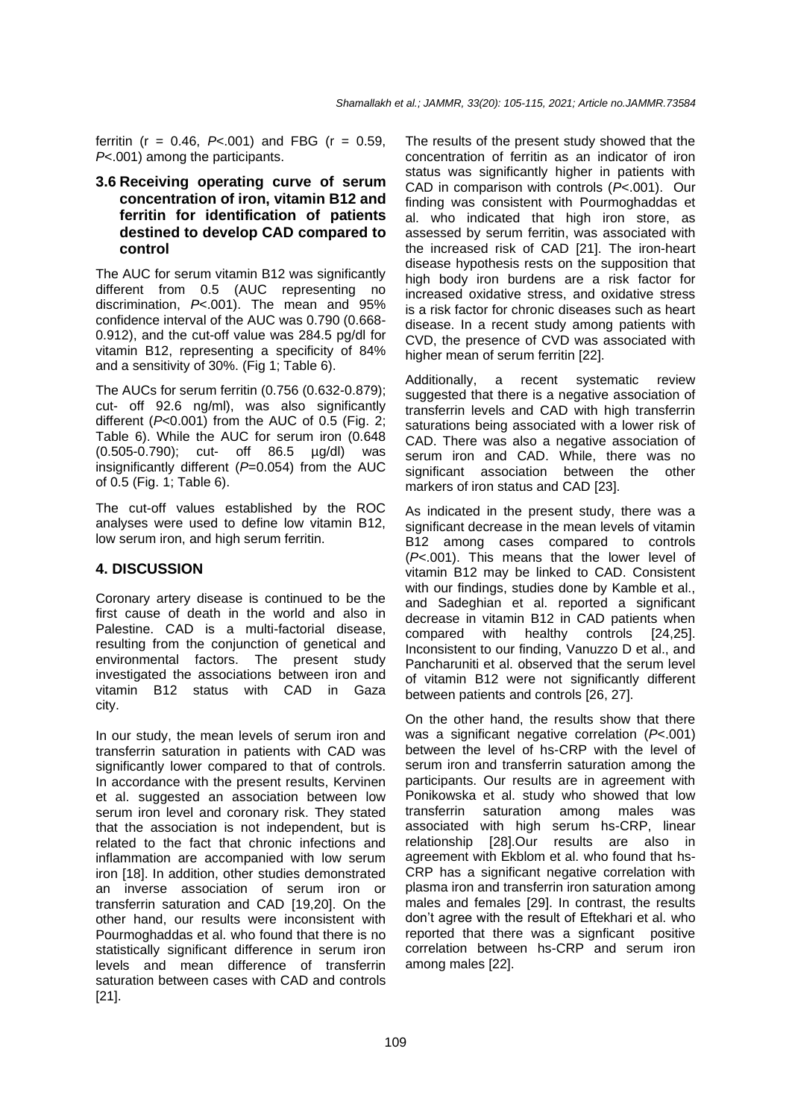ferritin ( $r = 0.46$ ,  $P < .001$ ) and FBG ( $r = 0.59$ , *P*<.001) among the participants.

#### **3.6 Receiving operating curve of serum concentration of iron, vitamin B12 and ferritin for identification of patients destined to develop CAD compared to control**

The AUC for serum vitamin B12 was significantly different from 0.5 (AUC representing no discrimination, *P*<.001). The mean and 95% confidence interval of the AUC was 0.790 (0.668- 0.912), and the cut-off value was 284.5 pg/dl for vitamin B12, representing a specificity of 84% and a sensitivity of 30%. (Fig 1; Table 6).

The AUCs for serum ferritin (0.756 (0.632-0.879); cut- off 92.6 ng/ml), was also significantly different (*P*<0.001) from the AUC of 0.5 (Fig. 2; Table 6). While the AUC for serum iron (0.648 (0.505-0.790); cut- off 86.5 µg/dl) was insignificantly different (*P*=0.054) from the AUC of 0.5 (Fig. 1; Table 6).

The cut-off values established by the ROC analyses were used to define low vitamin B12, low serum iron, and high serum ferritin.

#### **4. DISCUSSION**

Coronary artery disease is continued to be the first cause of death in the world and also in Palestine. CAD is a multi-factorial disease, resulting from the conjunction of genetical and environmental factors. The present study investigated the associations between iron and vitamin B12 status with CAD in Gaza city.

In our study, the mean levels of serum iron and transferrin saturation in patients with CAD was significantly lower compared to that of controls. In accordance with the present results, Kervinen et al. suggested an association between low serum iron level and coronary risk. They stated that the association is not independent, but is related to the fact that chronic infections and inflammation are accompanied with low serum iron [18]. In addition, other studies demonstrated an inverse association of serum iron or transferrin saturation and CAD [19,20]. On the other hand, our results were inconsistent with Pourmoghaddas et al. who found that there is no statistically significant difference in serum iron levels and mean difference of transferrin saturation between cases with CAD and controls [21].

The results of the present study showed that the concentration of ferritin as an indicator of iron status was significantly higher in patients with CAD in comparison with controls (*P*<.001). Our finding was consistent with Pourmoghaddas et al. who indicated that high iron store, as assessed by serum ferritin, was associated with the increased risk of CAD [21]. The iron-heart disease hypothesis rests on the supposition that high body iron burdens are a risk factor for increased oxidative stress, and oxidative stress is a risk factor for chronic diseases such as heart disease. In a recent study among patients with CVD, the presence of CVD was associated with higher mean of serum ferritin [22].

Additionally, a recent systematic review suggested that there is a negative association of transferrin levels and CAD with high transferrin saturations being associated with a lower risk of CAD. There was also a negative association of serum iron and CAD. While, there was no significant association between the other markers of iron status and CAD [23].

As indicated in the present study, there was a significant decrease in the mean levels of vitamin B12 among cases compared to controls (*P*<.001). This means that the lower level of vitamin B12 may be linked to CAD. Consistent with our findings, studies done by Kamble et al., and Sadeghian et al. reported a significant decrease in vitamin B12 in CAD patients when compared with healthy controls [24,25]. Inconsistent to our finding, Vanuzzo D et al., and Pancharuniti et al. observed that the serum level of vitamin B12 were not significantly different between patients and controls [26, 27].

On the other hand, the results show that there was a significant negative correlation (*P*<.001) between the level of hs-CRP with the level of serum iron and transferrin saturation among the participants. Our results are in agreement with Ponikowska et al. study who showed that low transferrin saturation among males was associated with high serum hs-CRP, linear relationship [28].Our results are also in agreement with Ekblom et al. who found that hs-CRP has a significant negative correlation with plasma iron and transferrin iron saturation among males and females [29]. In contrast, the results don't agree with the result of Eftekhari et al. who reported that there was a signficant positive correlation between hs-CRP and serum iron among males [22].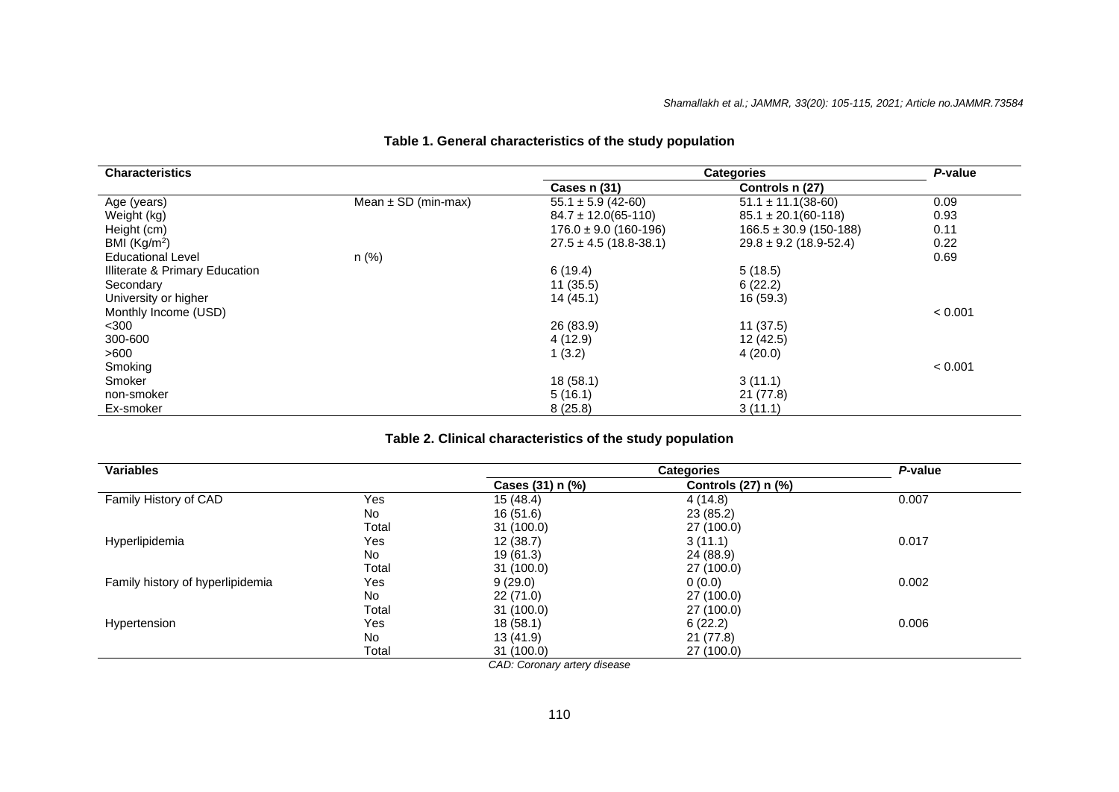| <b>Characteristics</b>         |                         | <b>Categories</b>          |                            | P-value |
|--------------------------------|-------------------------|----------------------------|----------------------------|---------|
|                                |                         | Cases n (31)               | Controls n (27)            |         |
| Age (years)                    | Mean $\pm$ SD (min-max) | $55.1 \pm 5.9$ (42-60)     | $51.1 \pm 11.1(38-60)$     | 0.09    |
| Weight (kg)                    |                         | $84.7 \pm 12.0(65-110)$    | $85.1 \pm 20.1(60-118)$    | 0.93    |
| Height (cm)                    |                         | $176.0 \pm 9.0$ (160-196)  | $166.5 \pm 30.9$ (150-188) | 0.11    |
| BMI $(Kg/m2)$                  |                         | $27.5 \pm 4.5$ (18.8-38.1) | $29.8 \pm 9.2$ (18.9-52.4) | 0.22    |
| <b>Educational Level</b>       | n (%)                   |                            |                            | 0.69    |
| Illiterate & Primary Education |                         | 6(19.4)                    | 5(18.5)                    |         |
| Secondary                      |                         | 11(35.5)                   | 6(22.2)                    |         |
| University or higher           |                         | 14(45.1)                   | 16 (59.3)                  |         |
| Monthly Income (USD)           |                         |                            |                            | < 0.001 |
| $<$ 300                        |                         | 26 (83.9)                  | 11(37.5)                   |         |
| 300-600                        |                         | 4(12.9)                    | 12 (42.5)                  |         |
| >600                           |                         | 1(3.2)                     | 4(20.0)                    |         |
| Smoking                        |                         |                            |                            | < 0.001 |
| Smoker                         |                         | 18(58.1)                   | 3(11.1)                    |         |
| non-smoker                     |                         | 5(16.1)                    | 21(77.8)                   |         |
| Ex-smoker                      |                         | 8(25.8)                    | 3(11.1)                    |         |

# **Table 1. General characteristics of the study population**

## **Table 2. Clinical characteristics of the study population**

| <b>Variables</b>                 |       |                  | P-value             |       |
|----------------------------------|-------|------------------|---------------------|-------|
|                                  |       | Cases (31) n (%) | Controls (27) n (%) |       |
| Family History of CAD            | Yes   | 15 (48.4)        | 4(14.8)             | 0.007 |
|                                  | No    | 16(51.6)         | 23(85.2)            |       |
|                                  | Total | 31(100.0)        | 27 (100.0)          |       |
| Hyperlipidemia                   | Yes   | 12(38.7)         | 3(11.1)             | 0.017 |
|                                  | No    | 19 (61.3)        | 24 (88.9)           |       |
|                                  | Total | 31(100.0)        | 27 (100.0)          |       |
| Family history of hyperlipidemia | Yes   | 9(29.0)          | 0(0.0)              | 0.002 |
|                                  | No    | 22(71.0)         | 27 (100.0)          |       |
|                                  | Total | 31(100.0)        | 27 (100.0)          |       |
| Hypertension                     | Yes   | 18(58.1)         | 6(22.2)             | 0.006 |
|                                  | No.   | 13 (41.9)        | 21 (77.8)           |       |
|                                  | Total | 31(100.0)        | 27 (100.0)          |       |

*CAD: Coronary artery disease*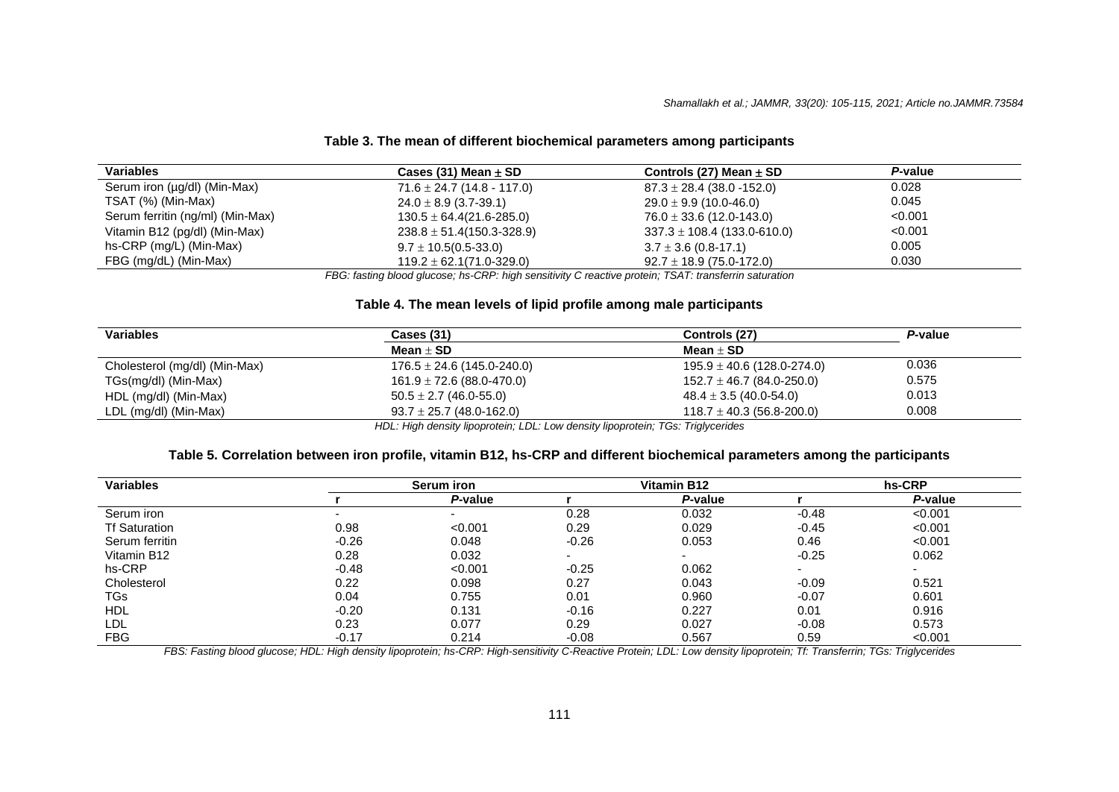#### **Table 3. The mean of different biochemical parameters among participants**

| <b>Variables</b>                 | Cases (31) Mean $\pm$ SD        | Controls (27) Mean $\pm$ SD     | P-value |
|----------------------------------|---------------------------------|---------------------------------|---------|
| Serum iron (µg/dl) (Min-Max)     | $71.6 \pm 24.7$ (14.8 - 117.0)  | $87.3 \pm 28.4$ (38.0 -152.0)   | 0.028   |
| TSAT (%) (Min-Max)               | $24.0 \pm 8.9$ (3.7-39.1)       | $29.0 \pm 9.9$ (10.0-46.0)      | 0.045   |
| Serum ferritin (ng/ml) (Min-Max) | $130.5 \pm 64.4(21.6 - 285.0)$  | $76.0 \pm 33.6$ (12.0-143.0)    | < 0.001 |
| Vitamin B12 (pg/dl) (Min-Max)    | $238.8 \pm 51.4(150.3 - 328.9)$ | $337.3 \pm 108.4$ (133.0-610.0) | < 0.001 |
| hs-CRP (mg/L) (Min-Max)          | $9.7 \pm 10.5(0.5-33.0)$        | $3.7 \pm 3.6$ (0.8-17.1)        | 0.005   |
| FBG (mg/dL) (Min-Max)            | $119.2 \pm 62.1(71.0-329.0)$    | $92.7 \pm 18.9$ (75.0-172.0)    | 0.030   |

*FBG: fasting blood glucose; hs-CRP: high sensitivity C reactive protein; TSAT: transferrin saturation*

#### **Table 4. The mean levels of lipid profile among male participants**

| <b>Variables</b>              | <b>Cases (31)</b>              | Controls (27)                  | P-value |  |
|-------------------------------|--------------------------------|--------------------------------|---------|--|
|                               | Mean $\pm$ SD                  | Mean $\pm$ SD                  |         |  |
| Cholesterol (mg/dl) (Min-Max) | $176.5 \pm 24.6$ (145.0-240.0) | $195.9 \pm 40.6$ (128.0-274.0) | 0.036   |  |
| TGs(mg/dl) (Min-Max)          | $161.9 \pm 72.6$ (88.0-470.0)  | $152.7 \pm 46.7$ (84.0-250.0)  | 0.575   |  |
| HDL (mg/dl) (Min-Max)         | $50.5 \pm 2.7$ (46.0-55.0)     | $48.4 \pm 3.5$ (40.0-54.0)     | 0.013   |  |
| LDL (mg/dl) (Min-Max)         | $93.7 \pm 25.7$ (48.0-162.0)   | $118.7 \pm 40.3$ (56.8-200.0)  | 0.008   |  |

*HDL: High density lipoprotein; LDL: Low density lipoprotein; TGs: Triglycerides*

#### **Table 5. Correlation between iron profile, vitamin B12, hs-CRP and different biochemical parameters among the participants**

| <b>Variables</b>        |         | Serum iron               |         | <b>Vitamin B12</b>       | hs-CRP                   |                          |  |
|-------------------------|---------|--------------------------|---------|--------------------------|--------------------------|--------------------------|--|
|                         |         | P-value                  |         | P-value                  |                          | P-value                  |  |
| Serum iron              |         | $\overline{\phantom{0}}$ | 0.28    | 0.032                    | $-0.48$                  | < 0.001                  |  |
| <b>Tf Saturation</b>    | 0.98    | < 0.001                  | 0.29    | 0.029                    | $-0.45$                  | < 0.001                  |  |
| Serum ferritin          | $-0.26$ | 0.048                    | $-0.26$ | 0.053                    | 0.46                     | < 0.001                  |  |
| Vitamin B <sub>12</sub> | 0.28    | 0.032                    |         | $\overline{\phantom{0}}$ | $-0.25$                  | 0.062                    |  |
| hs-CRP                  | $-0.48$ | < 0.001                  | $-0.25$ | 0.062                    | $\overline{\phantom{a}}$ | $\overline{\phantom{a}}$ |  |
| Cholesterol             | 0.22    | 0.098                    | 0.27    | 0.043                    | $-0.09$                  | 0.521                    |  |
| <b>TGs</b>              | 0.04    | 0.755                    | 0.01    | 0.960                    | $-0.07$                  | 0.601                    |  |
| <b>HDL</b>              | $-0.20$ | 0.131                    | $-0.16$ | 0.227                    | 0.01                     | 0.916                    |  |
| LDL                     | 0.23    | 0.077                    | 0.29    | 0.027                    | $-0.08$                  | 0.573                    |  |
| <b>FBG</b>              | $-0.17$ | 0.214                    | $-0.08$ | 0.567                    | 0.59                     | < 0.001                  |  |

*FBS: Fasting blood glucose; HDL: High density lipoprotein; hs-CRP: High-sensitivity C-Reactive Protein; LDL: Low density lipoprotein; Tf: Transferrin; TGs: Triglycerides*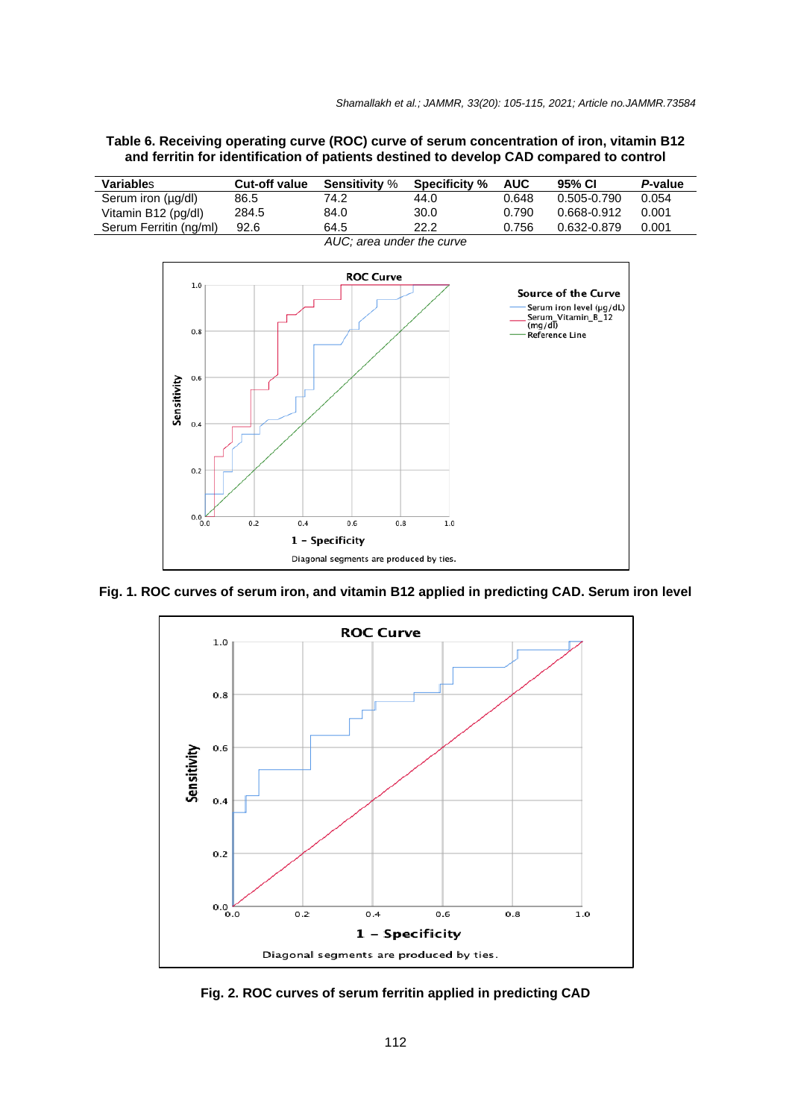**Table 6. Receiving operating curve (ROC) curve of serum concentration of iron, vitamin B12 and ferritin for identification of patients destined to develop CAD compared to control**

| <b>Variables</b>          | <b>Cut-off value</b> | <b>Sensitivity</b> % | <b>Specificity %</b> | <b>AUC</b> | 95% CI      | P-value |
|---------------------------|----------------------|----------------------|----------------------|------------|-------------|---------|
| Serum iron (µg/dl)        | 86.5                 | 74.2                 | 44.0                 | 0.648      | 0.505-0.790 | 0.054   |
| Vitamin B12 (pg/dl)       | 284.5                | 84.0                 | 30.0                 | 0.790      | 0.668-0.912 | 0.001   |
| Serum Ferritin (ng/ml)    | 92.6                 | 64.5                 | 22.2                 | 0.756      | 0.632-0.879 | 0.001   |
| AUC; area under the curve |                      |                      |                      |            |             |         |



**Fig. 1. ROC curves of serum iron, and vitamin B12 applied in predicting CAD. Serum iron level**



**Fig. 2. ROC curves of serum ferritin applied in predicting CAD**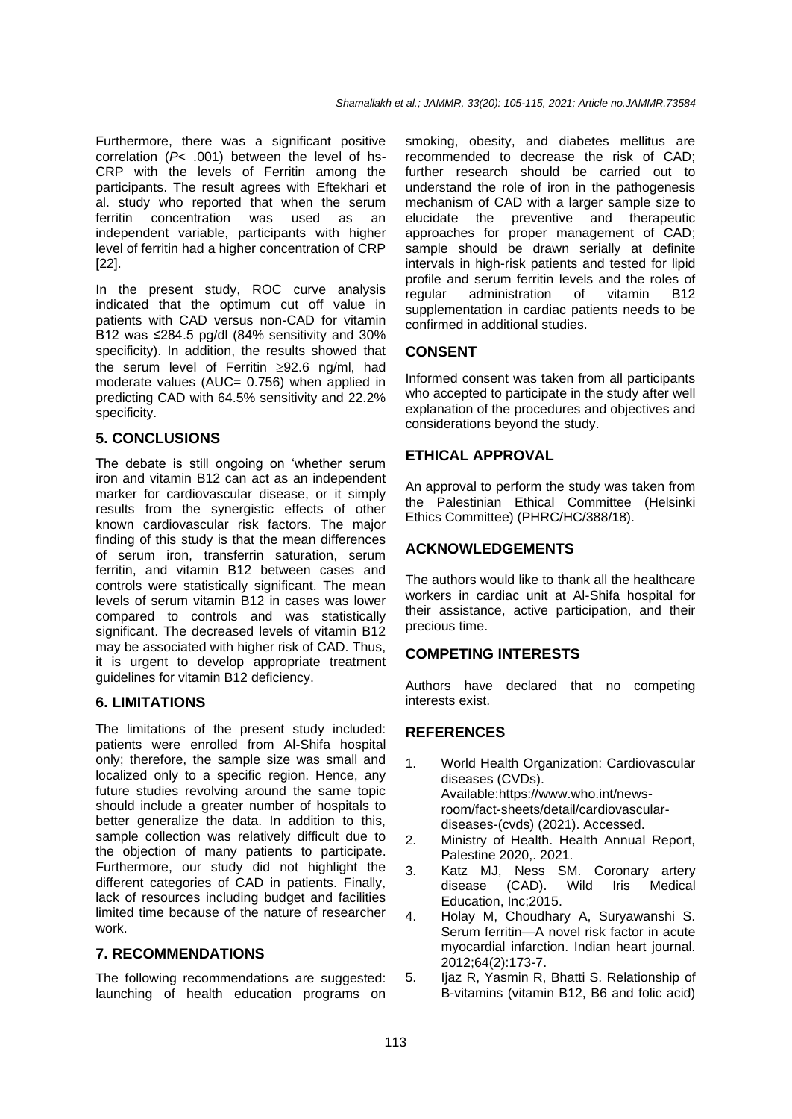Furthermore, there was a significant positive correlation (*P*< .001) between the level of hs-CRP with the levels of Ferritin among the participants. The result agrees with Eftekhari et al. study who reported that when the serum ferritin concentration was used as an independent variable, participants with higher level of ferritin had a higher concentration of CRP [22].

In the present study, ROC curve analysis indicated that the optimum cut off value in patients with CAD versus non-CAD for vitamin B12 was ≤284.5 pg/dl (84% sensitivity and 30% specificity). In addition, the results showed that the serum level of Ferritin  $\geq 92.6$  ng/ml, had moderate values (AUC= 0.756) when applied in predicting CAD with 64.5% sensitivity and 22.2% specificity.

## **5. CONCLUSIONS**

The debate is still ongoing on 'whether serum iron and vitamin B12 can act as an independent marker for cardiovascular disease, or it simply results from the synergistic effects of other known cardiovascular risk factors. The major finding of this study is that the mean differences of serum iron, transferrin saturation, serum ferritin, and vitamin B12 between cases and controls were statistically significant. The mean levels of serum vitamin B12 in cases was lower compared to controls and was statistically significant. The decreased levels of vitamin B12 may be associated with higher risk of CAD. Thus, it is urgent to develop appropriate treatment guidelines for vitamin B12 deficiency.

#### **6. LIMITATIONS**

The limitations of the present study included: patients were enrolled from Al-Shifa hospital only; therefore, the sample size was small and localized only to a specific region. Hence, any future studies revolving around the same topic should include a greater number of hospitals to better generalize the data. In addition to this, sample collection was relatively difficult due to the objection of many patients to participate. Furthermore, our study did not highlight the different categories of CAD in patients. Finally, lack of resources including budget and facilities limited time because of the nature of researcher work.

## **7. RECOMMENDATIONS**

The following recommendations are suggested: launching of health education programs on smoking, obesity, and diabetes mellitus are recommended to decrease the risk of CAD; further research should be carried out to understand the role of iron in the pathogenesis mechanism of CAD with a larger sample size to elucidate the preventive and therapeutic approaches for proper management of CAD; sample should be drawn serially at definite intervals in high-risk patients and tested for lipid profile and serum ferritin levels and the roles of regular administration of vitamin B12 supplementation in cardiac patients needs to be confirmed in additional studies.

## **CONSENT**

Informed consent was taken from all participants who accepted to participate in the study after well explanation of the procedures and objectives and considerations beyond the study.

## **ETHICAL APPROVAL**

An approval to perform the study was taken from the Palestinian Ethical Committee (Helsinki Ethics Committee) (PHRC/HC/388/18).

## **ACKNOWLEDGEMENTS**

The authors would like to thank all the healthcare workers in cardiac unit at Al-Shifa hospital for their assistance, active participation, and their precious time.

#### **COMPETING INTERESTS**

Authors have declared that no competing interests exist.

# **REFERENCES**

- 1. World Health Organization: Cardiovascular diseases (CVDs). Available:https://www.who.int/newsroom/fact-sheets/detail/cardiovasculardiseases-(cvds) (2021). Accessed.
- 2. Ministry of Health. Health Annual Report, Palestine 2020,. 2021.
- 3. Katz MJ, Ness SM. Coronary artery disease (CAD). Wild Iris Medical Education, Inc;2015.
- 4. Holay M, Choudhary A, Suryawanshi S. Serum ferritin—A novel risk factor in acute myocardial infarction. Indian heart journal. 2012;64(2):173-7.
- 5. Ijaz R, Yasmin R, Bhatti S. Relationship of B-vitamins (vitamin B12, B6 and folic acid)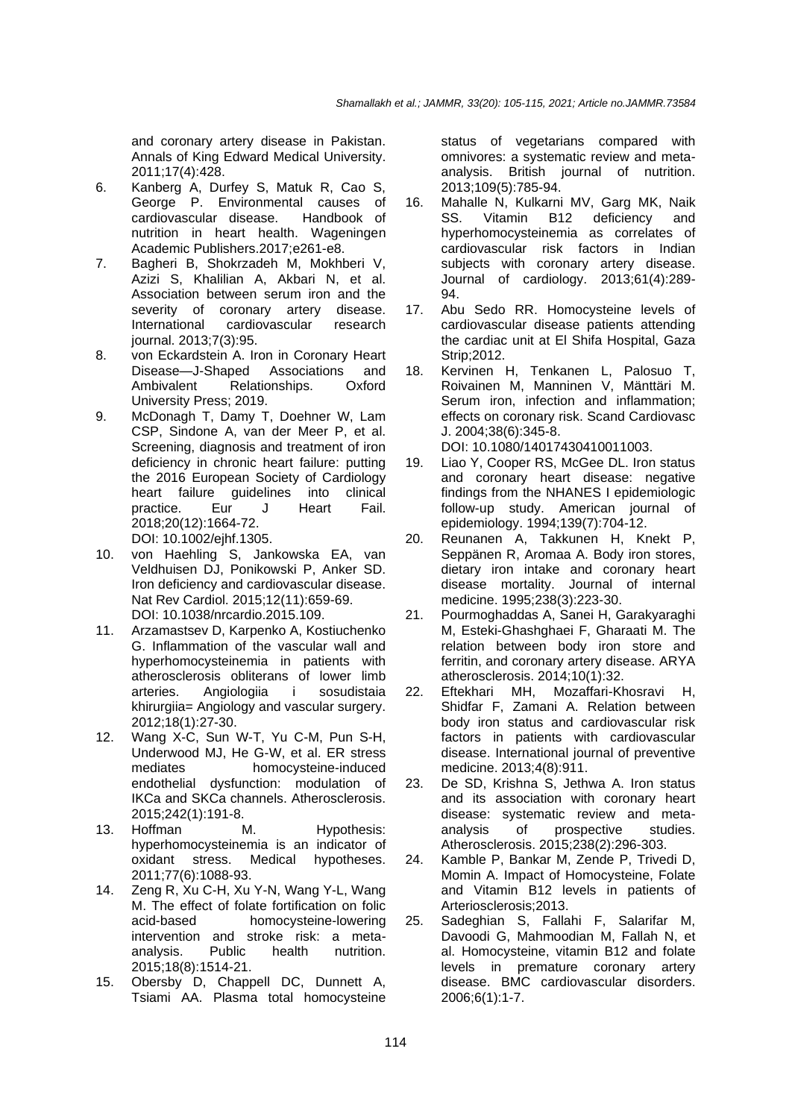and coronary artery disease in Pakistan. Annals of King Edward Medical University. 2011;17(4):428.

- 6. Kanberg A, Durfey S, Matuk R, Cao S, George P. Environmental causes of<br>cardiovascular disease Handbook of cardiovascular disease. nutrition in heart health. Wageningen Academic Publishers.2017;e261-e8.
- 7. Bagheri B, Shokrzadeh M, Mokhberi V, Azizi S, Khalilian A, Akbari N, et al. Association between serum iron and the severity of coronary artery disease. International cardiovascular research journal. 2013;7(3):95.
- 8. von Eckardstein A. Iron in Coronary Heart Disease—J-Shaped Associations and Ambivalent Relationships. Oxford University Press; 2019.
- 9. McDonagh T, Damy T, Doehner W, Lam CSP, Sindone A, van der Meer P, et al. Screening, diagnosis and treatment of iron deficiency in chronic heart failure: putting the 2016 European Society of Cardiology heart failure guidelines into clinical practice. Eur J Heart Fail. 2018;20(12):1664-72.

DOI: 10.1002/ejhf.1305.

- 10. von Haehling S, Jankowska EA, van Veldhuisen DJ, Ponikowski P, Anker SD. Iron deficiency and cardiovascular disease. Nat Rev Cardiol. 2015;12(11):659-69. DOI: 10.1038/nrcardio.2015.109.
- 11. Arzamastsev D, Karpenko A, Kostiuchenko G. Inflammation of the vascular wall and hyperhomocysteinemia in patients with atherosclerosis obliterans of lower limb<br>arteries. Angiologiia i sosudistaia arteries. Angiologiia i sosudistaia khirurgiia= Angiology and vascular surgery. 2012;18(1):27-30.
- 12. Wang X-C, Sun W-T, Yu C-M, Pun S-H, Underwood MJ, He G-W, et al. ER stress mediates homocysteine-induced endothelial dysfunction: modulation of IKCa and SKCa channels. Atherosclerosis. 2015;242(1):191-8.
- 13. Hoffman M. Hypothesis: hyperhomocysteinemia is an indicator of oxidant stress. Medical hypotheses. 2011;77(6):1088-93.
- 14. Zeng R, Xu C-H, Xu Y-N, Wang Y-L, Wang M. The effect of folate fortification on folic acid-based homocysteine-lowering intervention and stroke risk: a metaanalysis. Public health nutrition. 2015;18(8):1514-21.
- 15. Obersby D, Chappell DC, Dunnett A, Tsiami AA. Plasma total homocysteine

status of vegetarians compared with omnivores: a systematic review and metaanalysis. British journal of nutrition. 2013;109(5):785-94.

- 16. Mahalle N, Kulkarni MV, Garg MK, Naik SS. Vitamin B12 deficiency and hyperhomocysteinemia as correlates of cardiovascular risk factors in Indian subjects with coronary artery disease. Journal of cardiology. 2013;61(4):289- 94.
- 17. Abu Sedo RR. Homocysteine levels of cardiovascular disease patients attending the cardiac unit at El Shifa Hospital, Gaza Strip;2012.
- 18. Kervinen H, Tenkanen L, Palosuo T, Roivainen M, Manninen V, Mänttäri M. Serum iron, infection and inflammation; effects on coronary risk. Scand Cardiovasc J. 2004;38(6):345-8. DOI: 10.1080/14017430410011003.
- 19. Liao Y, Cooper RS, McGee DL. Iron status and coronary heart disease: negative findings from the NHANES I epidemiologic follow-up study. American journal of epidemiology. 1994;139(7):704-12.
- 20. Reunanen A, Takkunen H, Knekt P, Seppänen R, Aromaa A. Body iron stores, dietary iron intake and coronary heart disease mortality. Journal of internal medicine. 1995;238(3):223-30.
- 21. Pourmoghaddas A, Sanei H, Garakyaraghi M, Esteki-Ghashghaei F, Gharaati M. The relation between body iron store and ferritin, and coronary artery disease. ARYA atherosclerosis. 2014;10(1):32.<br>Eftekhari MH. Mozaffari-Kl
- 22. Eftekhari MH, Mozaffari-Khosravi H, Shidfar F, Zamani A. Relation between body iron status and cardiovascular risk factors in patients with cardiovascular disease. International journal of preventive medicine. 2013;4(8):911.
- 23. De SD, Krishna S, Jethwa A. Iron status and its association with coronary heart disease: systematic review and metaanalysis of prospective studies. Atherosclerosis. 2015;238(2):296-303.
- 24. Kamble P, Bankar M, Zende P, Trivedi D, Momin A. Impact of Homocysteine, Folate and Vitamin B12 levels in patients of Arteriosclerosis;2013.
- 25. Sadeghian S, Fallahi F, Salarifar M, Davoodi G, Mahmoodian M, Fallah N, et al. Homocysteine, vitamin B12 and folate levels in premature coronary artery disease. BMC cardiovascular disorders. 2006;6(1):1-7.